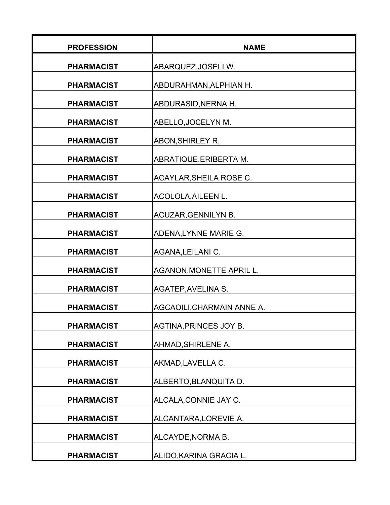| <b>PROFESSION</b> | <b>NAME</b>                |
|-------------------|----------------------------|
| <b>PHARMACIST</b> | ABARQUEZ, JOSELI W.        |
| <b>PHARMACIST</b> | ABDURAHMAN, ALPHIAN H.     |
| <b>PHARMACIST</b> | ABDURASID, NERNA H.        |
| <b>PHARMACIST</b> | ABELLO, JOCELYN M.         |
| <b>PHARMACIST</b> | ABON, SHIRLEY R.           |
| <b>PHARMACIST</b> | ABRATIQUE, ERIBERTA M.     |
| <b>PHARMACIST</b> | ACAYLAR, SHEILA ROSE C.    |
| <b>PHARMACIST</b> | ACOLOLA, AILEEN L.         |
| <b>PHARMACIST</b> | ACUZAR, GENNILYN B.        |
| <b>PHARMACIST</b> | ADENA, LYNNE MARIE G.      |
| <b>PHARMACIST</b> | AGANA, LEILANI C.          |
| <b>PHARMACIST</b> | AGANON, MONETTE APRIL L.   |
| <b>PHARMACIST</b> | AGATEP, AVELINA S.         |
| <b>PHARMACIST</b> | AGCAOILI, CHARMAIN ANNE A. |
| <b>PHARMACIST</b> | AGTINA, PRINCES JOY B.     |
| <b>PHARMACIST</b> | AHMAD, SHIRLENE A.         |
| <b>PHARMACIST</b> | AKMAD, LAVELLA C.          |
| <b>PHARMACIST</b> | ALBERTO, BLANQUITA D.      |
| <b>PHARMACIST</b> | ALCALA, CONNIE JAY C.      |
| <b>PHARMACIST</b> | ALCANTARA, LOREVIE A.      |
| <b>PHARMACIST</b> | ALCAYDE, NORMA B.          |
| <b>PHARMACIST</b> | ALIDO, KARINA GRACIA L.    |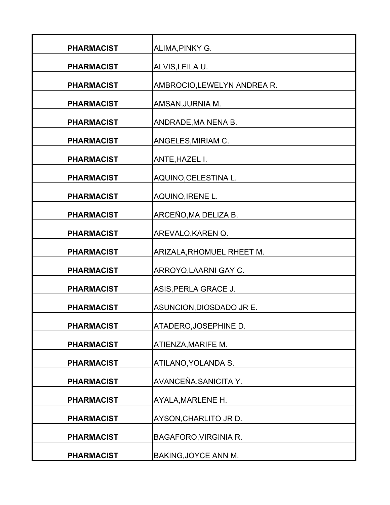| <b>PHARMACIST</b> | ALIMA, PINKY G.              |
|-------------------|------------------------------|
| <b>PHARMACIST</b> | ALVIS, LEILA U.              |
| <b>PHARMACIST</b> | AMBROCIO, LEWELYN ANDREA R.  |
| <b>PHARMACIST</b> | AMSAN, JURNIA M.             |
| <b>PHARMACIST</b> | ANDRADE, MA NENA B.          |
| <b>PHARMACIST</b> | ANGELES, MIRIAM C.           |
| <b>PHARMACIST</b> | ANTE, HAZEL I.               |
| <b>PHARMACIST</b> | AQUINO, CELESTINA L.         |
| <b>PHARMACIST</b> | AQUINO, IRENE L.             |
| <b>PHARMACIST</b> | ARCEÑO, MA DELIZA B.         |
| <b>PHARMACIST</b> | AREVALO, KAREN Q.            |
| <b>PHARMACIST</b> | ARIZALA, RHOMUEL RHEET M.    |
| <b>PHARMACIST</b> | ARROYO, LAARNI GAY C.        |
| <b>PHARMACIST</b> | ASIS, PERLA GRACE J.         |
| <b>PHARMACIST</b> | ASUNCION, DIOSDADO JR E.     |
| <b>PHARMACIST</b> | ATADERO, JOSEPHINE D.        |
| <b>PHARMACIST</b> | ATIENZA, MARIFE M.           |
|                   |                              |
| <b>PHARMACIST</b> | ATILANO, YOLANDA S.          |
| <b>PHARMACIST</b> | AVANCEÑA, SANICITA Y.        |
| <b>PHARMACIST</b> | AYALA, MARLENE H.            |
| <b>PHARMACIST</b> | AYSON, CHARLITO JR D.        |
| <b>PHARMACIST</b> | <b>BAGAFORO, VIRGINIA R.</b> |
| <b>PHARMACIST</b> | BAKING, JOYCE ANN M.         |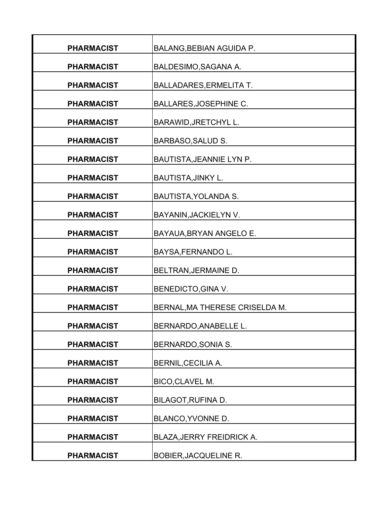| <b>PHARMACIST</b> | BALANG, BEBIAN AGUIDA P.         |
|-------------------|----------------------------------|
| <b>PHARMACIST</b> | BALDESIMO, SAGANA A.             |
| <b>PHARMACIST</b> | <b>BALLADARES, ERMELITA T.</b>   |
| <b>PHARMACIST</b> | <b>BALLARES, JOSEPHINE C.</b>    |
| <b>PHARMACIST</b> | <b>BARAWID, JRETCHYL L.</b>      |
| <b>PHARMACIST</b> | <b>BARBASO, SALUD S.</b>         |
| <b>PHARMACIST</b> | BAUTISTA, JEANNIE LYN P.         |
| <b>PHARMACIST</b> | <b>BAUTISTA, JINKY L.</b>        |
| <b>PHARMACIST</b> | BAUTISTA, YOLANDA S.             |
| <b>PHARMACIST</b> | BAYANIN, JACKIELYN V.            |
| <b>PHARMACIST</b> | BAYAUA, BRYAN ANGELO E.          |
| <b>PHARMACIST</b> | BAYSA, FERNANDO L.               |
| <b>PHARMACIST</b> | BELTRAN, JERMAINE D.             |
| <b>PHARMACIST</b> | <b>BENEDICTO, GINA V.</b>        |
| <b>PHARMACIST</b> | BERNAL, MA THERESE CRISELDA M.   |
| <b>PHARMACIST</b> |                                  |
|                   | BERNARDO, ANABELLE L.            |
| <b>PHARMACIST</b> | <b>BERNARDO, SONIA S.</b>        |
| <b>PHARMACIST</b> | <b>BERNIL, CECILIA A.</b>        |
| <b>PHARMACIST</b> | BICO, CLAVEL M.                  |
| <b>PHARMACIST</b> | BILAGOT, RUFINA D.               |
| <b>PHARMACIST</b> | BLANCO, YVONNE D.                |
| <b>PHARMACIST</b> | <b>BLAZA, JERRY FREIDRICK A.</b> |
| <b>PHARMACIST</b> | <b>BOBIER, JACQUELINE R.</b>     |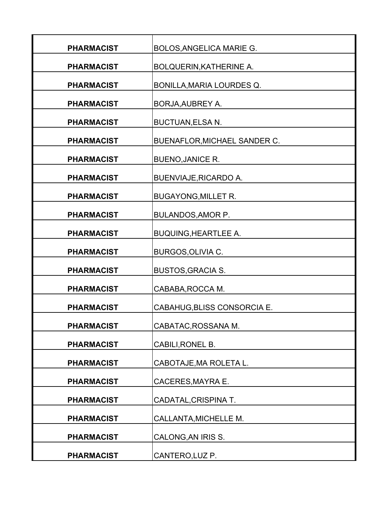| <b>PHARMACIST</b> | BOLOS, ANGELICA MARIE G.       |
|-------------------|--------------------------------|
| <b>PHARMACIST</b> | <b>BOLQUERIN, KATHERINE A.</b> |
| <b>PHARMACIST</b> | BONILLA, MARIA LOURDES Q.      |
| <b>PHARMACIST</b> | <b>BORJA, AUBREY A.</b>        |
| <b>PHARMACIST</b> | <b>BUCTUAN, ELSA N.</b>        |
| <b>PHARMACIST</b> | BUENAFLOR, MICHAEL SANDER C.   |
| <b>PHARMACIST</b> | <b>BUENO, JANICE R.</b>        |
| <b>PHARMACIST</b> | <b>BUENVIAJE, RICARDO A.</b>   |
| <b>PHARMACIST</b> | <b>BUGAYONG, MILLET R.</b>     |
| <b>PHARMACIST</b> | <b>BULANDOS, AMOR P.</b>       |
| <b>PHARMACIST</b> | <b>BUQUING, HEARTLEE A.</b>    |
| <b>PHARMACIST</b> | <b>BURGOS, OLIVIA C.</b>       |
| <b>PHARMACIST</b> | <b>BUSTOS, GRACIA S.</b>       |
| <b>PHARMACIST</b> | CABABA, ROCCA M.               |
| <b>PHARMACIST</b> | CABAHUG, BLISS CONSORCIA E.    |
| <b>PHARMACIST</b> | CABATAC, ROSSANA M.            |
| <b>PHARMACIST</b> | CABILI, RONEL B.               |
| <b>PHARMACIST</b> | CABOTAJE, MA ROLETA L.         |
| <b>PHARMACIST</b> | <b>CACERES, MAYRA E.</b>       |
| <b>PHARMACIST</b> | CADATAL, CRISPINA T.           |
| <b>PHARMACIST</b> | CALLANTA, MICHELLE M.          |
| <b>PHARMACIST</b> | CALONG, AN IRIS S.             |
| <b>PHARMACIST</b> | CANTERO, LUZ P.                |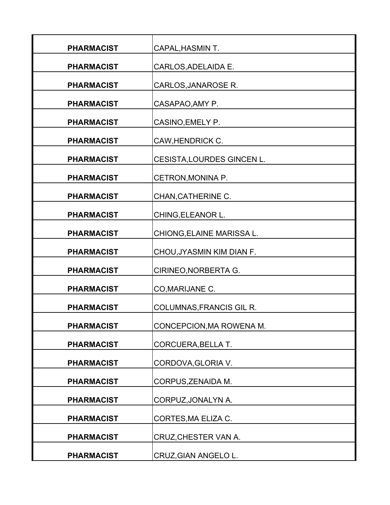| <b>PHARMACIST</b> | CAPAL, HASMIN T.           |
|-------------------|----------------------------|
| <b>PHARMACIST</b> | CARLOS, ADELAIDA E.        |
| <b>PHARMACIST</b> | CARLOS, JANAROSE R.        |
| <b>PHARMACIST</b> | CASAPAO, AMY P.            |
| <b>PHARMACIST</b> | CASINO, EMELY P.           |
| <b>PHARMACIST</b> | CAW, HENDRICK C.           |
| <b>PHARMACIST</b> | CESISTA, LOURDES GINCEN L. |
| <b>PHARMACIST</b> | CETRON, MONINA P.          |
| <b>PHARMACIST</b> | CHAN, CATHERINE C.         |
| <b>PHARMACIST</b> | CHING, ELEANOR L.          |
| <b>PHARMACIST</b> | CHIONG, ELAINE MARISSA L.  |
| <b>PHARMACIST</b> | CHOU, JYASMIN KIM DIAN F.  |
| <b>PHARMACIST</b> | CIRINEO, NORBERTA G.       |
| <b>PHARMACIST</b> | CO, MARIJANE C.            |
| <b>PHARMACIST</b> | COLUMNAS, FRANCIS GIL R.   |
| <b>PHARMACIST</b> | CONCEPCION, MA ROWENA M.   |
| <b>PHARMACIST</b> | <b>CORCUERA, BELLA T.</b>  |
| <b>PHARMACIST</b> | CORDOVA, GLORIA V.         |
| <b>PHARMACIST</b> | CORPUS, ZENAIDA M.         |
| <b>PHARMACIST</b> | CORPUZ, JONALYN A.         |
| <b>PHARMACIST</b> | CORTES, MA ELIZA C.        |
| <b>PHARMACIST</b> | CRUZ, CHESTER VAN A.       |
| <b>PHARMACIST</b> | CRUZ, GIAN ANGELO L.       |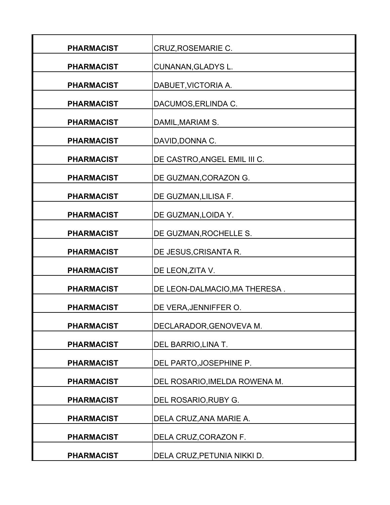| <b>PHARMACIST</b> | CRUZ, ROSEMARIE C.            |
|-------------------|-------------------------------|
| <b>PHARMACIST</b> | CUNANAN, GLADYS L.            |
| <b>PHARMACIST</b> | DABUET, VICTORIA A.           |
| <b>PHARMACIST</b> | DACUMOS, ERLINDA C.           |
| <b>PHARMACIST</b> | DAMIL, MARIAM S.              |
| <b>PHARMACIST</b> | DAVID, DONNA C.               |
| <b>PHARMACIST</b> | DE CASTRO, ANGEL EMIL III C.  |
| <b>PHARMACIST</b> | DE GUZMAN, CORAZON G.         |
| <b>PHARMACIST</b> | DE GUZMAN, LILISA F.          |
| <b>PHARMACIST</b> | DE GUZMAN, LOIDA Y.           |
| <b>PHARMACIST</b> | DE GUZMAN, ROCHELLE S.        |
| <b>PHARMACIST</b> | DE JESUS, CRISANTA R.         |
| <b>PHARMACIST</b> | DE LEON, ZITA V.              |
| <b>PHARMACIST</b> | DE LEON-DALMACIO, MA THERESA. |
| <b>PHARMACIST</b> | DE VERA, JENNIFFER O.         |
| <b>PHARMACIST</b> | DECLARADOR, GENOVEVA M.       |
| <b>PHARMACIST</b> | DEL BARRIO, LINA T.           |
| <b>PHARMACIST</b> | DEL PARTO, JOSEPHINE P.       |
| <b>PHARMACIST</b> | DEL ROSARIO, IMELDA ROWENA M. |
| <b>PHARMACIST</b> | DEL ROSARIO, RUBY G.          |
| <b>PHARMACIST</b> | DELA CRUZ, ANA MARIE A.       |
| <b>PHARMACIST</b> | DELA CRUZ, CORAZON F.         |
| <b>PHARMACIST</b> | DELA CRUZ, PETUNIA NIKKI D.   |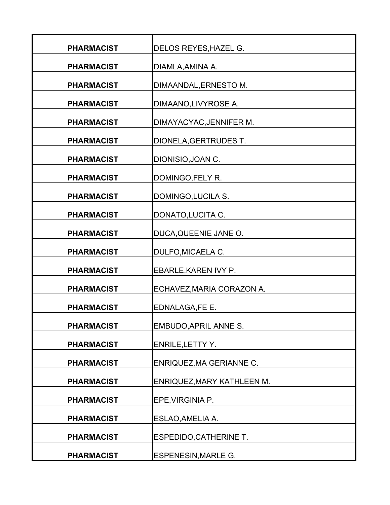| <b>PHARMACIST</b> | DELOS REYES, HAZEL G.             |
|-------------------|-----------------------------------|
| <b>PHARMACIST</b> | DIAMLA, AMINA A.                  |
| <b>PHARMACIST</b> | DIMAANDAL, ERNESTO M.             |
| <b>PHARMACIST</b> | DIMAANO,LIVYROSE A.               |
| <b>PHARMACIST</b> | DIMAYACYAC, JENNIFER M.           |
| <b>PHARMACIST</b> | DIONELA, GERTRUDES T.             |
| <b>PHARMACIST</b> | DIONISIO, JOAN C.                 |
| <b>PHARMACIST</b> | DOMINGO, FELY R.                  |
| <b>PHARMACIST</b> | DOMINGO, LUCILA S.                |
| <b>PHARMACIST</b> | DONATO, LUCITA C.                 |
| <b>PHARMACIST</b> | DUCA, QUEENIE JANE O.             |
| <b>PHARMACIST</b> | <b>DULFO, MICAELA C.</b>          |
| <b>PHARMACIST</b> | EBARLE, KAREN IVY P.              |
| <b>PHARMACIST</b> | ECHAVEZ, MARIA CORAZON A.         |
| <b>PHARMACIST</b> | EDNALAGA, FE E.                   |
| <b>PHARMACIST</b> | EMBUDO, APRIL ANNE S.             |
| <b>PHARMACIST</b> | <b>ENRILE, LETTY Y.</b>           |
| <b>PHARMACIST</b> | ENRIQUEZ, MA GERIANNE C.          |
| <b>PHARMACIST</b> | <b>ENRIQUEZ, MARY KATHLEEN M.</b> |
| <b>PHARMACIST</b> | EPE, VIRGINIA P.                  |
| <b>PHARMACIST</b> | ESLAO, AMELIA A.                  |
| <b>PHARMACIST</b> | <b>ESPEDIDO, CATHERINE T.</b>     |
| <b>PHARMACIST</b> | <b>ESPENESIN, MARLE G.</b>        |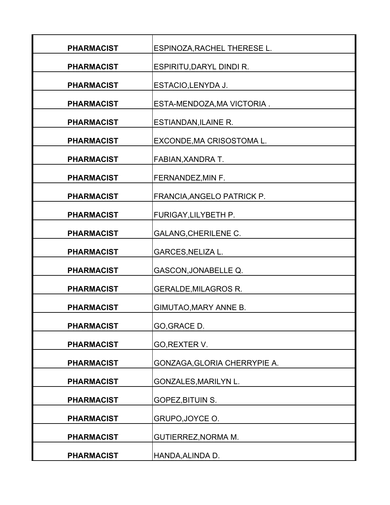| <b>PHARMACIST</b> | ESPINOZA, RACHEL THERESE L.  |
|-------------------|------------------------------|
| <b>PHARMACIST</b> | ESPIRITU, DARYL DINDI R.     |
| <b>PHARMACIST</b> | ESTACIO, LENYDA J.           |
| <b>PHARMACIST</b> | ESTA-MENDOZA, MA VICTORIA.   |
| <b>PHARMACIST</b> | <b>ESTIANDAN, ILAINE R.</b>  |
| <b>PHARMACIST</b> | EXCONDE, MA CRISOSTOMA L.    |
| <b>PHARMACIST</b> | FABIAN, XANDRA T.            |
| <b>PHARMACIST</b> | FERNANDEZ, MIN F.            |
| <b>PHARMACIST</b> | FRANCIA, ANGELO PATRICK P.   |
| <b>PHARMACIST</b> | FURIGAY, LILYBETH P.         |
| <b>PHARMACIST</b> | <b>GALANG, CHERILENE C.</b>  |
| <b>PHARMACIST</b> | <b>GARCES, NELIZA L.</b>     |
| <b>PHARMACIST</b> | GASCON, JONABELLE Q.         |
| <b>PHARMACIST</b> | <b>GERALDE, MILAGROS R.</b>  |
| <b>PHARMACIST</b> | <b>GIMUTAO, MARY ANNE B.</b> |
| <b>PHARMACIST</b> | GO, GRACE D.                 |
| <b>PHARMACIST</b> | GO, REXTER V.                |
| <b>PHARMACIST</b> | GONZAGA, GLORIA CHERRYPIE A. |
| <b>PHARMACIST</b> | <b>GONZALES, MARILYN L.</b>  |
| <b>PHARMACIST</b> | GOPEZ, BITUIN S.             |
| <b>PHARMACIST</b> | GRUPO, JOYCE O.              |
| <b>PHARMACIST</b> | <b>GUTIERREZ, NORMA M.</b>   |
| <b>PHARMACIST</b> | HANDA, ALINDA D.             |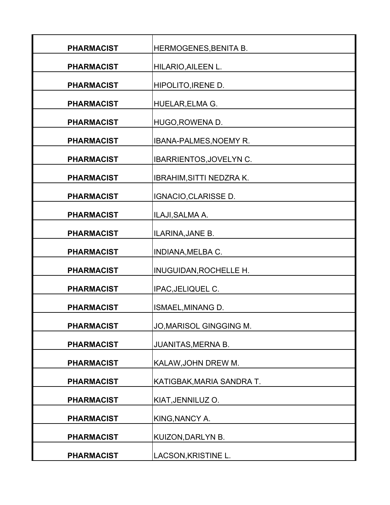| <b>PHARMACIST</b> | HERMOGENES, BENITA B.         |
|-------------------|-------------------------------|
| <b>PHARMACIST</b> | HILARIO, AILEEN L.            |
| <b>PHARMACIST</b> | HIPOLITO, IRENE D.            |
| <b>PHARMACIST</b> | HUELAR, ELMA G.               |
| <b>PHARMACIST</b> | HUGO, ROWENA D.               |
| <b>PHARMACIST</b> | <b>IBANA-PALMES, NOEMY R.</b> |
| <b>PHARMACIST</b> | IBARRIENTOS, JOVELYN C.       |
| <b>PHARMACIST</b> | IBRAHIM, SITTI NEDZRA K.      |
| <b>PHARMACIST</b> | IGNACIO, CLARISSE D.          |
| <b>PHARMACIST</b> | ILAJI, SALMA A.               |
| <b>PHARMACIST</b> | ILARINA, JANE B.              |
| <b>PHARMACIST</b> | INDIANA, MELBA C.             |
| <b>PHARMACIST</b> | INUGUIDAN, ROCHELLE H.        |
| <b>PHARMACIST</b> | IPAC, JELIQUEL C.             |
| <b>PHARMACIST</b> | ISMAEL, MINANG D.             |
|                   |                               |
| <b>PHARMACIST</b> | JO, MARISOL GINGGING M.       |
| <b>PHARMACIST</b> | <b>JUANITAS, MERNA B.</b>     |
| <b>PHARMACIST</b> | KALAW, JOHN DREW M.           |
| <b>PHARMACIST</b> | KATIGBAK, MARIA SANDRA T.     |
| <b>PHARMACIST</b> | KIAT, JENNILUZ O.             |
| <b>PHARMACIST</b> | KING, NANCY A.                |
| <b>PHARMACIST</b> | KUIZON, DARLYN B.             |
| <b>PHARMACIST</b> | LACSON, KRISTINE L.           |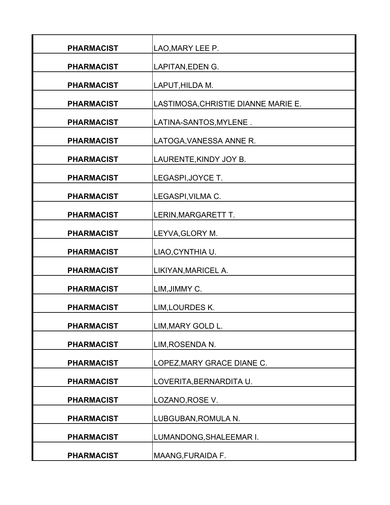| <b>PHARMACIST</b> | LAO, MARY LEE P.                    |
|-------------------|-------------------------------------|
| <b>PHARMACIST</b> | LAPITAN, EDEN G.                    |
| <b>PHARMACIST</b> | LAPUT, HILDA M.                     |
| <b>PHARMACIST</b> | LASTIMOSA, CHRISTIE DIANNE MARIE E. |
| <b>PHARMACIST</b> | LATINA-SANTOS, MYLENE.              |
| <b>PHARMACIST</b> | LATOGA, VANESSA ANNE R.             |
| <b>PHARMACIST</b> | LAURENTE, KINDY JOY B.              |
| <b>PHARMACIST</b> | LEGASPI, JOYCE T.                   |
| <b>PHARMACIST</b> | LEGASPI, VILMA C.                   |
| <b>PHARMACIST</b> | LERIN, MARGARETT T.                 |
| <b>PHARMACIST</b> | LEYVA, GLORY M.                     |
| <b>PHARMACIST</b> | LIAO, CYNTHIA U.                    |
| <b>PHARMACIST</b> | LIKIYAN, MARICEL A.                 |
| <b>PHARMACIST</b> | LIM, JIMMY C.                       |
| <b>PHARMACIST</b> | LIM, LOURDES K.                     |
| <b>PHARMACIST</b> | LIM, MARY GOLD L.                   |
| <b>PHARMACIST</b> | LIM, ROSENDA N.                     |
| <b>PHARMACIST</b> | LOPEZ, MARY GRACE DIANE C.          |
| <b>PHARMACIST</b> | LOVERITA, BERNARDITA U.             |
| <b>PHARMACIST</b> | LOZANO, ROSE V.                     |
| <b>PHARMACIST</b> | LUBGUBAN, ROMULA N.                 |
| <b>PHARMACIST</b> | LUMANDONG, SHALEEMAR I.             |
| <b>PHARMACIST</b> | MAANG, FURAIDA F.                   |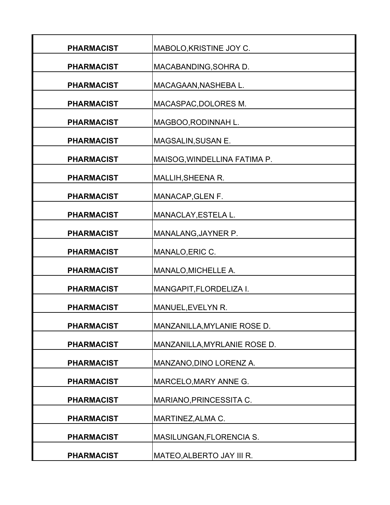| <b>PHARMACIST</b> | MABOLO, KRISTINE JOY C.      |
|-------------------|------------------------------|
| <b>PHARMACIST</b> | MACABANDING, SOHRA D.        |
| <b>PHARMACIST</b> | MACAGAAN, NASHEBA L.         |
| <b>PHARMACIST</b> | MACASPAC, DOLORES M.         |
| <b>PHARMACIST</b> | MAGBOO, RODINNAH L.          |
| <b>PHARMACIST</b> | MAGSALIN, SUSAN E.           |
| <b>PHARMACIST</b> | MAISOG, WINDELLINA FATIMA P. |
| <b>PHARMACIST</b> | MALLIH, SHEENA R.            |
| <b>PHARMACIST</b> | MANACAP, GLEN F.             |
| <b>PHARMACIST</b> | MANACLAY, ESTELA L.          |
| <b>PHARMACIST</b> | MANALANG, JAYNER P.          |
| <b>PHARMACIST</b> | MANALO, ERIC C.              |
| <b>PHARMACIST</b> | MANALO, MICHELLE A.          |
| <b>PHARMACIST</b> | MANGAPIT, FLORDELIZA I.      |
|                   |                              |
| <b>PHARMACIST</b> | MANUEL, EVELYN R.            |
| <b>PHARMACIST</b> | MANZANILLA, MYLANIE ROSE D.  |
| <b>PHARMACIST</b> | MANZANILLA, MYRLANIE ROSE D. |
| <b>PHARMACIST</b> | MANZANO, DINO LORENZ A.      |
| <b>PHARMACIST</b> | MARCELO, MARY ANNE G.        |
| <b>PHARMACIST</b> | MARIANO, PRINCESSITA C.      |
| <b>PHARMACIST</b> | MARTINEZ, ALMA C.            |
| <b>PHARMACIST</b> | MASILUNGAN, FLORENCIA S.     |
| <b>PHARMACIST</b> | MATEO, ALBERTO JAY III R.    |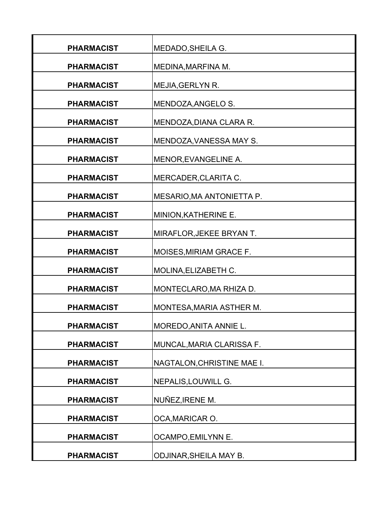| <b>PHARMACIST</b> | MEDADO, SHEILA G.               |
|-------------------|---------------------------------|
| <b>PHARMACIST</b> | MEDINA, MARFINA M.              |
| <b>PHARMACIST</b> | MEJIA, GERLYN R.                |
| <b>PHARMACIST</b> | MENDOZA, ANGELO S.              |
| <b>PHARMACIST</b> | MENDOZA, DIANA CLARA R.         |
| <b>PHARMACIST</b> | MENDOZA, VANESSA MAY S.         |
| <b>PHARMACIST</b> | MENOR, EVANGELINE A.            |
| <b>PHARMACIST</b> | MERCADER, CLARITA C.            |
| <b>PHARMACIST</b> | MESARIO, MA ANTONIETTA P.       |
| <b>PHARMACIST</b> | MINION, KATHERINE E.            |
| <b>PHARMACIST</b> | MIRAFLOR, JEKEE BRYAN T.        |
| <b>PHARMACIST</b> | <b>MOISES, MIRIAM GRACE F.</b>  |
| <b>PHARMACIST</b> | MOLINA, ELIZABETH C.            |
| <b>PHARMACIST</b> | MONTECLARO, MA RHIZA D.         |
| <b>PHARMACIST</b> | <b>MONTESA, MARIA ASTHER M.</b> |
|                   |                                 |
| <b>PHARMACIST</b> | MOREDO, ANITA ANNIE L.          |
| <b>PHARMACIST</b> | MUNCAL, MARIA CLARISSA F.       |
| <b>PHARMACIST</b> | NAGTALON, CHRISTINE MAE I.      |
| <b>PHARMACIST</b> | NEPALIS, LOUWILL G.             |
| <b>PHARMACIST</b> | NUÑEZ, IRENE M.                 |
| <b>PHARMACIST</b> | OCA, MARICAR O.                 |
| <b>PHARMACIST</b> | OCAMPO, EMILYNN E.              |
| <b>PHARMACIST</b> | <b>ODJINAR, SHEILA MAY B.</b>   |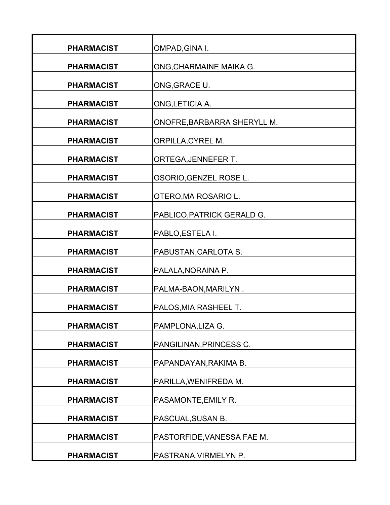| <b>PHARMACIST</b> | OMPAD, GINA I.              |
|-------------------|-----------------------------|
| <b>PHARMACIST</b> | ONG, CHARMAINE MAIKA G.     |
| <b>PHARMACIST</b> | ONG, GRACE U.               |
| <b>PHARMACIST</b> | ONG, LETICIA A.             |
| <b>PHARMACIST</b> | ONOFRE, BARBARRA SHERYLL M. |
| <b>PHARMACIST</b> | <b>ORPILLA, CYREL M.</b>    |
| <b>PHARMACIST</b> | ORTEGA, JENNEFER T.         |
| <b>PHARMACIST</b> | OSORIO, GENZEL ROSE L.      |
| <b>PHARMACIST</b> | OTERO, MA ROSARIO L.        |
| <b>PHARMACIST</b> | PABLICO, PATRICK GERALD G.  |
| <b>PHARMACIST</b> | PABLO, ESTELA I.            |
| <b>PHARMACIST</b> | PABUSTAN, CARLOTA S.        |
| <b>PHARMACIST</b> | PALALA, NORAINA P.          |
| <b>PHARMACIST</b> | PALMA-BAON, MARILYN.        |
| <b>PHARMACIST</b> | PALOS, MIA RASHEEL T.       |
| <b>PHARMACIST</b> | PAMPLONA, LIZA G.           |
| <b>PHARMACIST</b> | PANGILINAN, PRINCESS C.     |
|                   |                             |
| <b>PHARMACIST</b> | PAPANDAYAN, RAKIMA B.       |
| <b>PHARMACIST</b> | PARILLA, WENIFREDA M.       |
| <b>PHARMACIST</b> | PASAMONTE, EMILY R.         |
| <b>PHARMACIST</b> | PASCUAL, SUSAN B.           |
| <b>PHARMACIST</b> | PASTORFIDE, VANESSA FAE M.  |
| <b>PHARMACIST</b> | PASTRANA, VIRMELYN P.       |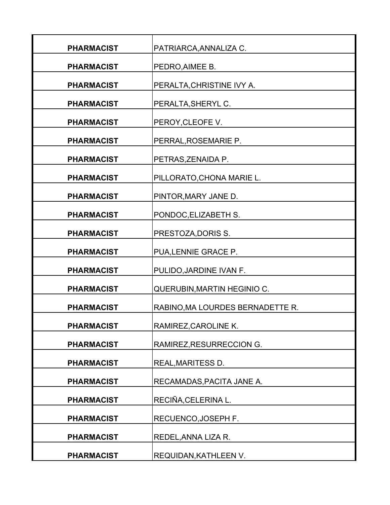| <b>PHARMACIST</b> | PATRIARCA, ANNALIZA C.           |
|-------------------|----------------------------------|
| <b>PHARMACIST</b> | PEDRO, AIMEE B.                  |
| <b>PHARMACIST</b> | PERALTA, CHRISTINE IVY A.        |
| <b>PHARMACIST</b> | PERALTA, SHERYL C.               |
| <b>PHARMACIST</b> | PEROY, CLEOFE V.                 |
| <b>PHARMACIST</b> | PERRAL, ROSEMARIE P.             |
| <b>PHARMACIST</b> | PETRAS, ZENAIDA P.               |
| <b>PHARMACIST</b> | PILLORATO, CHONA MARIE L.        |
| <b>PHARMACIST</b> | PINTOR, MARY JANE D.             |
| <b>PHARMACIST</b> | PONDOC, ELIZABETH S.             |
| <b>PHARMACIST</b> | PRESTOZA, DORIS S.               |
| <b>PHARMACIST</b> | PUA, LENNIE GRACE P.             |
| <b>PHARMACIST</b> | PULIDO, JARDINE IVAN F.          |
| <b>PHARMACIST</b> | QUERUBIN, MARTIN HEGINIO C.      |
| <b>PHARMACIST</b> | RABINO, MA LOURDES BERNADETTE R. |
| <b>PHARMACIST</b> | RAMIREZ, CAROLINE K.             |
| <b>PHARMACIST</b> | RAMIREZ, RESURRECCION G.         |
| <b>PHARMACIST</b> | <b>REAL, MARITESS D.</b>         |
| <b>PHARMACIST</b> | RECAMADAS, PACITA JANE A.        |
| <b>PHARMACIST</b> | RECIÑA, CELERINA L.              |
| <b>PHARMACIST</b> | RECUENCO, JOSEPH F.              |
| <b>PHARMACIST</b> | REDEL, ANNA LIZA R.              |
| <b>PHARMACIST</b> | <b>REQUIDAN, KATHLEEN V.</b>     |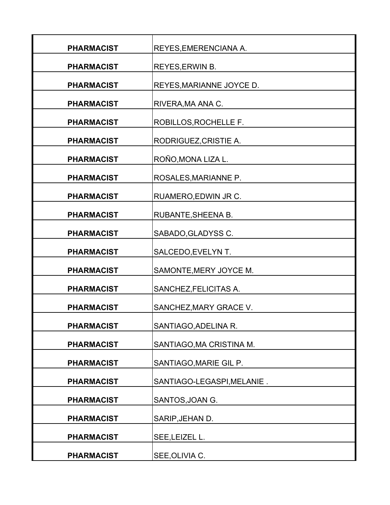| <b>PHARMACIST</b> | REYES, EMERENCIANA A.      |
|-------------------|----------------------------|
| <b>PHARMACIST</b> | REYES, ERWIN B.            |
| <b>PHARMACIST</b> | REYES, MARIANNE JOYCE D.   |
| <b>PHARMACIST</b> | RIVERA, MA ANA C.          |
| <b>PHARMACIST</b> | ROBILLOS, ROCHELLE F.      |
| <b>PHARMACIST</b> | RODRIGUEZ, CRISTIE A.      |
| <b>PHARMACIST</b> | ROÑO, MONA LIZA L.         |
| <b>PHARMACIST</b> | ROSALES, MARIANNE P.       |
| <b>PHARMACIST</b> | RUAMERO, EDWIN JR C.       |
| <b>PHARMACIST</b> | RUBANTE, SHEENA B.         |
| <b>PHARMACIST</b> | SABADO, GLADYSS C.         |
| <b>PHARMACIST</b> | SALCEDO, EVELYN T.         |
| <b>PHARMACIST</b> | SAMONTE, MERY JOYCE M.     |
| <b>PHARMACIST</b> | SANCHEZ, FELICITAS A.      |
| <b>PHARMACIST</b> | SANCHEZ, MARY GRACE V.     |
| <b>PHARMACIST</b> | SANTIAGO, ADELINA R.       |
| <b>PHARMACIST</b> | SANTIAGO, MA CRISTINA M.   |
|                   |                            |
| <b>PHARMACIST</b> | SANTIAGO, MARIE GIL P.     |
| <b>PHARMACIST</b> | SANTIAGO-LEGASPI, MELANIE. |
| <b>PHARMACIST</b> | SANTOS, JOAN G.            |
| <b>PHARMACIST</b> | SARIP, JEHAN D.            |
| <b>PHARMACIST</b> | SEE, LEIZEL L.             |
| <b>PHARMACIST</b> | SEE, OLIVIA C.             |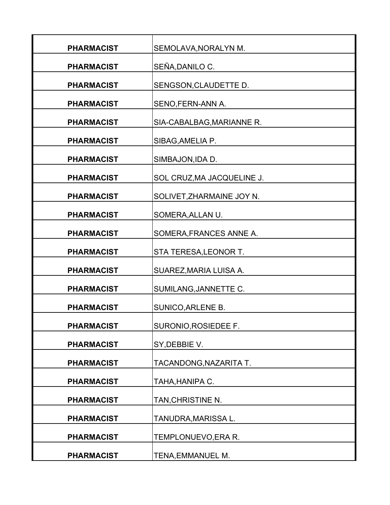| <b>PHARMACIST</b> | SEMOLAVA, NORALYN M.       |
|-------------------|----------------------------|
| <b>PHARMACIST</b> | SEÑA, DANILO C.            |
| <b>PHARMACIST</b> | SENGSON, CLAUDETTE D.      |
| <b>PHARMACIST</b> | SENO, FERN-ANN A.          |
| <b>PHARMACIST</b> | SIA-CABALBAG, MARIANNE R.  |
| <b>PHARMACIST</b> | SIBAG, AMELIA P.           |
| <b>PHARMACIST</b> | SIMBAJON, IDA D.           |
| <b>PHARMACIST</b> | SOL CRUZ, MA JACQUELINE J. |
| <b>PHARMACIST</b> | SOLIVET, ZHARMAINE JOY N.  |
| <b>PHARMACIST</b> | SOMERA, ALLAN U.           |
| <b>PHARMACIST</b> | SOMERA, FRANCES ANNE A.    |
| <b>PHARMACIST</b> | STA TERESA, LEONOR T.      |
| <b>PHARMACIST</b> | SUAREZ, MARIA LUISA A.     |
| <b>PHARMACIST</b> | SUMILANG, JANNETTE C.      |
| <b>PHARMACIST</b> | SUNICO, ARLENE B.          |
| <b>PHARMACIST</b> | SURONIO, ROSIEDEE F.       |
| <b>PHARMACIST</b> | SY, DEBBIE V.              |
| <b>PHARMACIST</b> | TACANDONG, NAZARITA T.     |
| <b>PHARMACIST</b> | TAHA, HANIPA C.            |
| <b>PHARMACIST</b> | TAN, CHRISTINE N.          |
| <b>PHARMACIST</b> | TANUDRA, MARISSA L.        |
| <b>PHARMACIST</b> | TEMPLONUEVO, ERA R.        |
| <b>PHARMACIST</b> | TENA, EMMANUEL M.          |